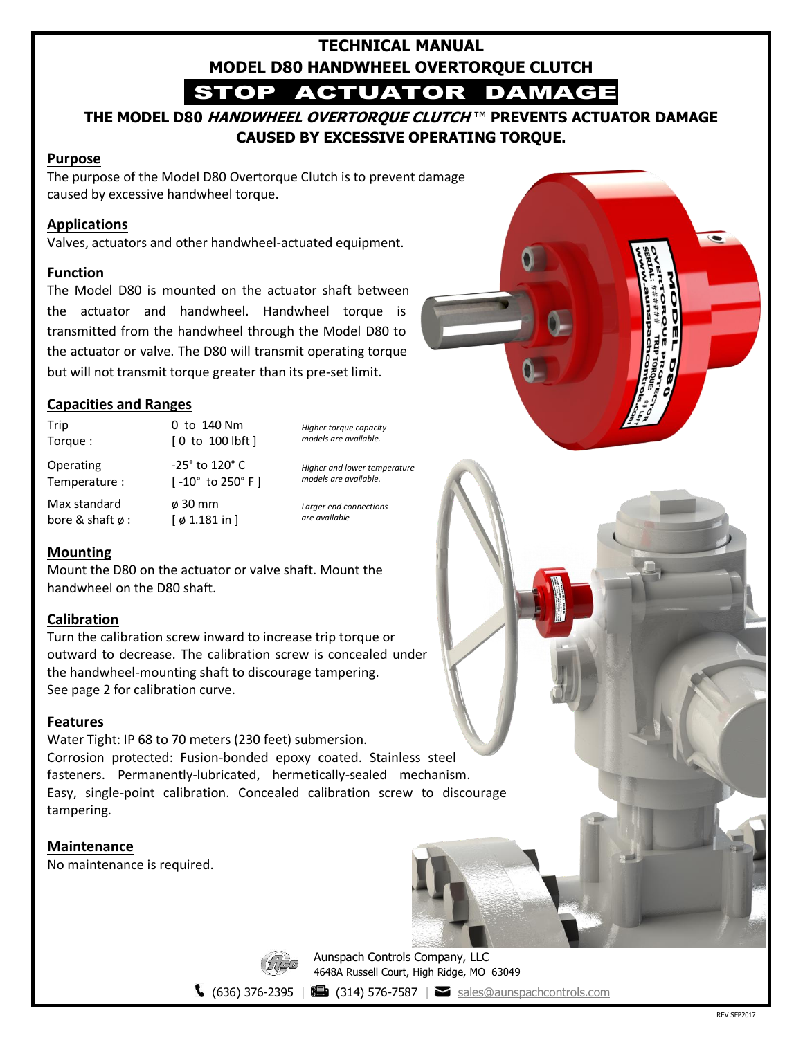# **TECHNICAL MANUAL MODEL D80 HANDWHEEL OVERTORQUE CLUTCH**

STOP ACTUATOR DAMAGE

**THE MODEL D80 HANDWHEEL OVERTORQUE CLUTCH** ™ **PREVENTS ACTUATOR DAMAGE CAUSED BY EXCESSIVE OPERATING TORQUE.**

#### **Purpose**

The purpose of the Model D80 Overtorque Clutch is to prevent damage caused by excessive handwheel torque.

### **Applications**

Valves, actuators and other handwheel-actuated equipment.

#### **Function**

The Model D80 is mounted on the actuator shaft between the actuator and handwheel. Handwheel torque is transmitted from the handwheel through the Model D80 to the actuator or valve. The D80 will transmit operating torque but will not transmit torque greater than its pre-set limit.

### **Capacities and Ranges**

Trip Torque : 0 to 140 Nm [ 0 to 100 lbft ] Operating Temperature : -25° to 120° C [ -10° to 250° F ] Max standard bore & shaft ø : ø 30 mm  $[$   $\phi$  1.181 in  $]$ 

*Higher torque capacity models are available.*

*Higher and lower temperature models are available.*

*Larger end connections are available*

# **Mounting**

Mount the D80 on the actuator or valve shaft. Mount the handwheel on the D80 shaft.

# **Calibration**

Turn the calibration screw inward to increase trip torque or outward to decrease. The calibration screw is concealed under the handwheel-mounting shaft to discourage tampering. See page 2 for calibration curve.

#### **Features**

Water Tight: IP 68 to 70 meters (230 feet) submersion. Corrosion protected: Fusion-bonded epoxy coated. Stainless steel fasteners. Permanently-lubricated, hermetically-sealed mechanism. Easy, single-point calibration. Concealed calibration screw to discourage tampering.

**Maintenance**

No maintenance is required.



Aunspach Controls Company, LLC 4648A Russell Court, High Ridge, MO 63049

 $\binom{636}{376-2395}$  |  $\binom{314}{376-7587}$  |  $\binom{318}{376-819}$  [sales@aunspachcontrols.com](mailto:sales@aunspachcontrols.com)